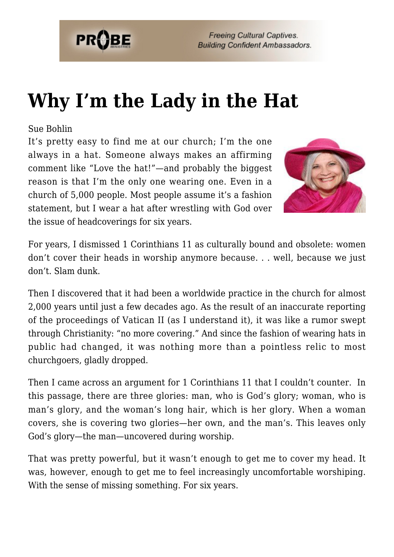

**Freeing Cultural Captives. Building Confident Ambassadors.** 

## **[Why I'm the Lady in the Hat](https://probe.org/why-im-the-lady-in-the-hat/)**

## Sue Bohlin

It's pretty easy to find me at our church; I'm the one always in a hat. Someone always makes an affirming comment like "Love the hat!"—and probably the biggest reason is that I'm the only one wearing one. Even in a church of 5,000 people. Most people assume it's a fashion statement, but I wear a hat after wrestling with God over the issue of headcoverings for six years.



For years, I dismissed 1 Corinthians 11 as culturally bound and obsolete: women don't cover their heads in worship anymore because. . . well, because we just don't. Slam dunk.

Then I discovered that it had been a worldwide practice in the church for almost 2,000 years until just a few decades ago. As the result of an inaccurate reporting of the proceedings of Vatican II (as I understand it), it was like a rumor swept through Christianity: "no more covering." And since the fashion of wearing hats in public had changed, it was nothing more than a pointless relic to most churchgoers, gladly dropped.

Then I came across an argument for 1 Corinthians 11 that I couldn't counter. In this passage, there are three glories: man, who is God's glory; woman, who is man's glory, and the woman's long hair, which is her glory. When a woman covers, she is covering two glories—her own, and the man's. This leaves only God's glory—the man—uncovered during worship.

That was pretty powerful, but it wasn't enough to get me to cover my head. It was, however, enough to get me to feel increasingly uncomfortable worshiping. With the sense of missing something. For six years.